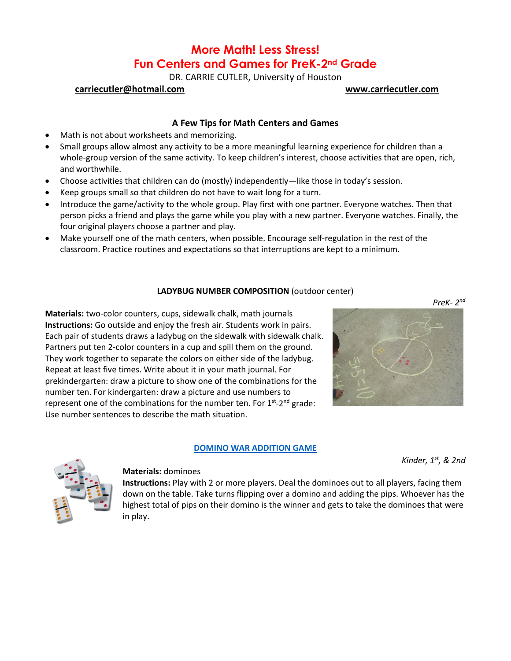# **More Math! Less Stress! Fun Centers and Games for PreK-2nd Grade**

DR. CARRIE CUTLER, University of Houston

## **[carriecutler@hotmail.com](mailto:carriecutler@hotmail.com) [www.carriecutler.com](http://www.carriecutler.com/)**

## **A Few Tips for Math Centers and Games**

- Math is not about worksheets and memorizing.
- Small groups allow almost any activity to be a more meaningful learning experience for children than a whole-group version of the same activity. To keep children's interest, choose activities that are open, rich, and worthwhile.
- Choose activities that children can do (mostly) independently—like those in today's session.
- Keep groups small so that children do not have to wait long for a turn.
- Introduce the game/activity to the whole group. Play first with one partner. Everyone watches. Then that person picks a friend and plays the game while you play with a new partner. Everyone watches. Finally, the four original players choose a partner and play.
- Make yourself one of the math centers, when possible. Encourage self-regulation in the rest of the classroom. Practice routines and expectations so that interruptions are kept to a minimum.

## **LADYBUG NUMBER COMPOSITION** (outdoor center)

**Materials:** two-color counters, cups, sidewalk chalk, math journals **Instructions:** Go outside and enjoy the fresh air. Students work in pairs. Each pair of students draws a ladybug on the sidewalk with sidewalk chalk. Partners put ten 2-color counters in a cup and spill them on the ground. They work together to separate the colors on either side of the ladybug. Repeat at least five times. Write about it in your math journal. For prekindergarten: draw a picture to show one of the combinations for the number ten. For kindergarten: draw a picture and use numbers to represent one of the combinations for the number ten. For  $1<sup>st</sup>$ -2<sup>nd</sup> grade: Use number sentences to describe the math situation.

## **[DOMINO WAR ADDITION GAME](https://youtu.be/UeTdgN7s_Vw)**

*Kinder, 1st, & 2nd*



### **Materials:** dominoes

**Instructions:** Play with 2 or more players. Deal the dominoes out to all players, facing them down on the table. Take turns flipping over a domino and adding the pips. Whoever has the highest total of pips on their domino is the winner and gets to take the dominoes that were in play.

*PreK- 2nd*

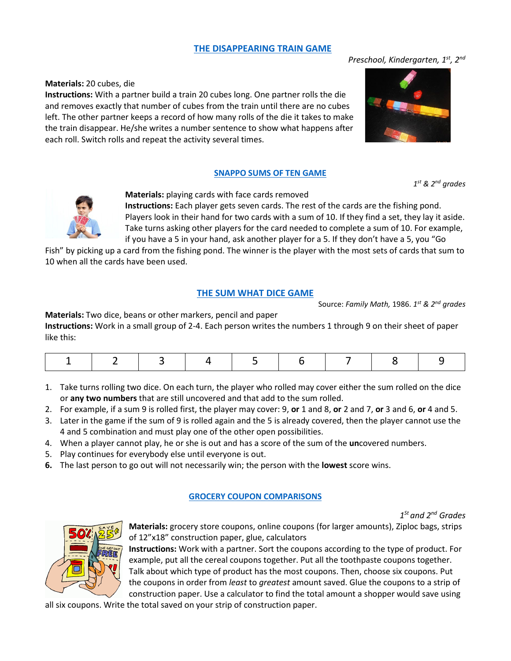## **[THE DISAPPEARING TRAIN GAME](https://youtu.be/-PgWO363pvE)**

## **Materials:** 20 cubes, die

**Instructions:** With a partner build a train 20 cubes long. One partner rolls the die and removes exactly that number of cubes from the train until there are no cubes left. The other partner keeps a record of how many rolls of the die it takes to make the train disappear. He/she writes a number sentence to show what happens after each roll. Switch rolls and repeat the activity several times.

## **[SNAPPO SUMS OF TEN GAME](https://youtu.be/sYFhWYMfuc4)**

*1st & 2nd grades*



**Materials:** playing cards with face cards removed **Instructions:** Each player gets seven cards. The rest of the cards are the fishing pond. Players look in their hand for two cards with a sum of 10. If they find a set, they lay it aside.

Take turns asking other players for the card needed to complete a sum of 10. For example, if you have a 5 in your hand, ask another player for a 5. If they don't have a 5, you "Go

Fish" by picking up a card from the fishing pond. The winner is the player with the most sets of cards that sum to 10 when all the cards have been used.

## **[THE SUM WHAT DICE GAME](https://youtu.be/18k4YLOz7GQ)**

Source: *Family Math,* 1986. *1st & 2nd grades*

**Materials:** Two dice, beans or other markers, pencil and paper

**Instructions:** Work in a small group of 2-4. Each person writes the numbers 1 through 9 on their sheet of paper like this:

- 1. Take turns rolling two dice. On each turn, the player who rolled may cover either the sum rolled on the dice or **any two numbers** that are still uncovered and that add to the sum rolled.
- 2. For example, if a sum 9 is rolled first, the player may cover: 9, **or** 1 and 8, **or** 2 and 7, **or** 3 and 6, **or** 4 and 5.
- 3. Later in the game if the sum of 9 is rolled again and the 5 is already covered, then the player cannot use the 4 and 5 combination and must play one of the other open possibilities.
- 4. When a player cannot play, he or she is out and has a score of the sum of the **un**covered numbers.
- 5. Play continues for everybody else until everyone is out.
- **6.** The last person to go out will not necessarily win; the person with the **lowest** score wins.

## **[GROCERY COUPON COMPARISONS](https://youtu.be/p38JauNtMfI)**

*1St and 2nd Grades*



**Materials:** grocery store coupons, online coupons (for larger amounts), Ziploc bags, strips of 12"x18" construction paper, glue, calculators

**Instructions:** Work with a partner. Sort the coupons according to the type of product. For example, put all the cereal coupons together. Put all the toothpaste coupons together. Talk about which type of product has the most coupons. Then, choose six coupons. Put the coupons in order from *least* to *greatest* amount saved. Glue the coupons to a strip of construction paper. Use a calculator to find the total amount a shopper would save using

all six coupons. Write the total saved on your strip of construction paper.

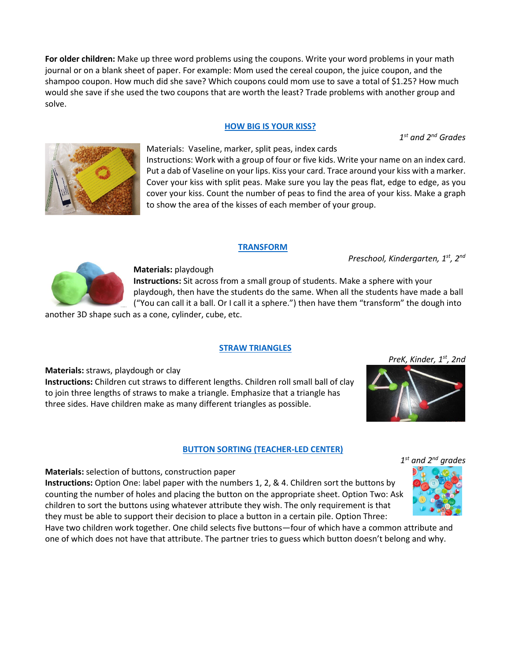**For older children:** Make up three word problems using the coupons. Write your word problems in your math journal or on a blank sheet of paper. For example: Mom used the cereal coupon, the juice coupon, and the shampoo coupon. How much did she save? Which coupons could mom use to save a total of \$1.25? How much would she save if she used the two coupons that are worth the least? Trade problems with another group and solve.

## **[HOW BIG IS YOUR KISS?](https://youtu.be/Nzm3x3fCVBQ)**

*1st and 2nd Grades*



Materials: Vaseline, marker, split peas, index cards Instructions: Work with a group of four or five kids. Write your name on an index card. Put a dab of Vaseline on your lips. Kiss your card. Trace around your kiss with a marker. Cover your kiss with split peas. Make sure you lay the peas flat, edge to edge, as you cover your kiss. Count the number of peas to find the area of your kiss. Make a graph to show the area of the kisses of each member of your group.

## **[TRANSFORM](https://youtu.be/9y8-0dcnKww)**

*Preschool, Kindergarten, 1st, 2nd* 



## **Materials:** playdough

**Instructions:** Sit across from a small group of students. Make a sphere with your playdough, then have the students do the same. When all the students have made a ball ("You can call it a ball. Or I call it a sphere.") then have them "transform" the dough into

another 3D shape such as a cone, cylinder, cube, etc.

## **[STRAW TRIANGLES](https://youtu.be/kham5eJQoqk)**

**Materials:** straws, playdough or clay

**Instructions:** Children cut straws to different lengths. Children roll small ball of clay to join three lengths of straws to make a triangle. Emphasize that a triangle has three sides. Have children make as many different triangles as possible.

## **[BUTTON SORTING \(TEACHER-LED CENTER\)](https://youtu.be/1b6aqlmz4qo)**

## **Materials:** selection of buttons, construction paper

**Instructions:** Option One: label paper with the numbers 1, 2, & 4. Children sort the buttons by counting the number of holes and placing the button on the appropriate sheet. Option Two: Ask children to sort the buttons using whatever attribute they wish. The only requirement is that they must be able to support their decision to place a button in a certain pile. Option Three:

Have two children work together. One child selects five buttons—four of which have a common attribute and one of which does not have that attribute. The partner tries to guess which button doesn't belong and why.



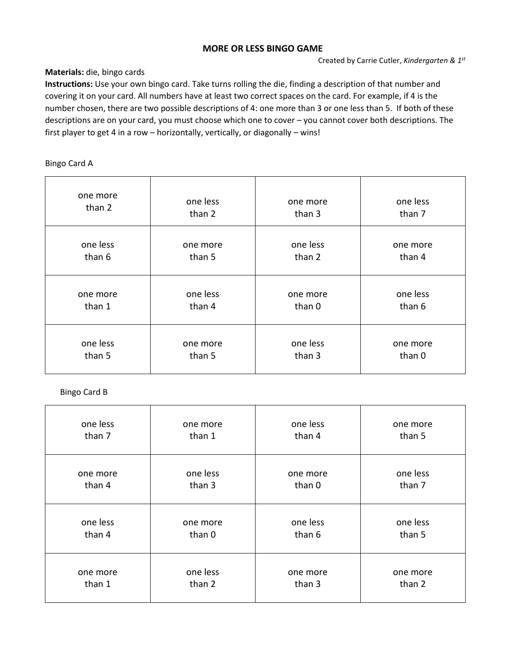## **MORE OR LESS BINGO GAME**

## **Materials:** die, bingo cards

**Instructions:** Use your own bingo card. Take turns rolling the die, finding a description of that number and covering it on your card. All numbers have at least two correct spaces on the card. For example, if 4 is the number chosen, there are two possible descriptions of 4: one more than 3 or one less than 5. If both of these descriptions are on your card, you must choose which one to cover – you cannot cover both descriptions. The first player to get 4 in a row – horizontally, vertically, or diagonally – wins!

## Bingo Card A

| one more | one less |          | one less |
|----------|----------|----------|----------|
| than 2   | than 2   |          | than 7   |
| one less | one more | one less | one more |
| than 6   | than 5   | than 2   | than 4   |
| one more | one less | one more | one less |
| than 1   | than 4   | than 0   | than 6   |
| one less | one more | one less | one more |
| than 5   | than 5   | than 3   | than 0   |

## Bingo Card B

| one less | one more | one less | one more |
|----------|----------|----------|----------|
| than 7   | than 1   | than 4   | than 5   |
| one more | one less | one more | one less |
| than 4   | than 3   | than 0   | than 7   |
| one less | one more | one less | one less |
| than 4   | than 0   | than 6   | than 5   |
| one more | one less | one more | one more |
| than 1   | than 2   | than 3   | than 2   |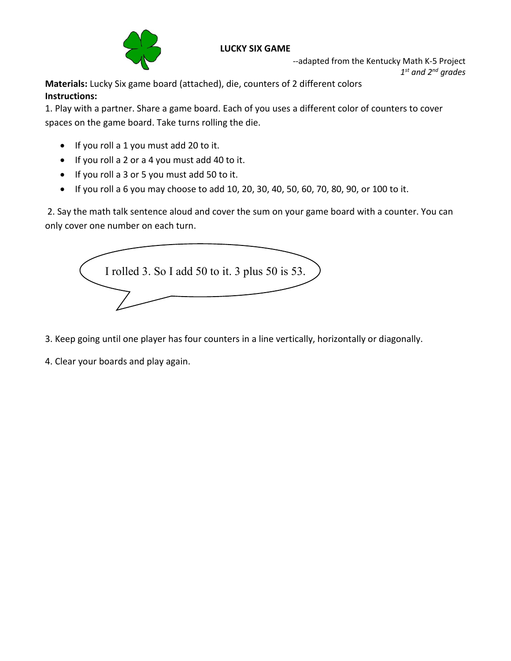

## **LUCKY SIX GAME**

--adapted from the Kentucky Math K-5 Project *1st and 2nd grades*

**Materials:** Lucky Six game board (attached), die, counters of 2 different colors **Instructions:** 

1. Play with a partner. Share a game board. Each of you uses a different color of counters to cover spaces on the game board. Take turns rolling the die.

- If you roll a 1 you must add 20 to it.
- If you roll a 2 or a 4 you must add 40 to it.
- If you roll a 3 or 5 you must add 50 to it.
- If you roll a 6 you may choose to add 10, 20, 30, 40, 50, 60, 70, 80, 90, or 100 to it.

2. Say the math talk sentence aloud and cover the sum on your game board with a counter. You can only cover one number on each turn.



3. Keep going until one player has four counters in a line vertically, horizontally or diagonally.

4. Clear your boards and play again.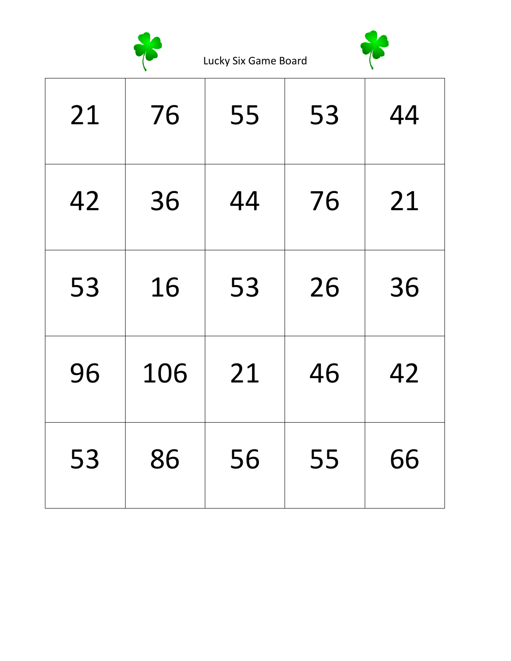

Lucky Six Game Board



| 21 | 76  | 55 | 53 | 44 |
|----|-----|----|----|----|
| 42 | 36  | 44 | 76 | 21 |
| 53 | 16  | 53 | 26 | 36 |
| 96 | 106 | 21 | 46 | 42 |
| 53 | 86  | 56 | 55 | 66 |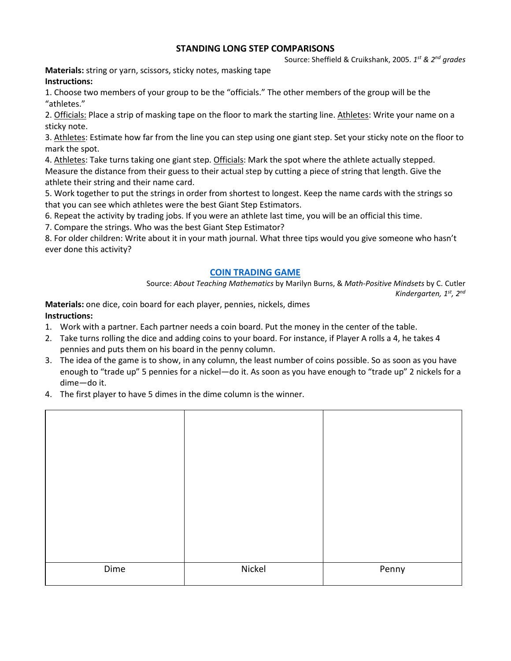## **STANDING LONG STEP COMPARISONS**

Source: Sheffield & Cruikshank, 2005. *1st & 2nd grades*

**Materials:** string or yarn, scissors, sticky notes, masking tape **Instructions:**

1. Choose two members of your group to be the "officials." The other members of the group will be the "athletes."

2. Officials: Place a strip of masking tape on the floor to mark the starting line. Athletes: Write your name on a sticky note.

3. Athletes: Estimate how far from the line you can step using one giant step. Set your sticky note on the floor to mark the spot.

4. Athletes: Take turns taking one giant step. Officials: Mark the spot where the athlete actually stepped. Measure the distance from their guess to their actual step by cutting a piece of string that length. Give the athlete their string and their name card.

5. Work together to put the strings in order from shortest to longest. Keep the name cards with the strings so that you can see which athletes were the best Giant Step Estimators.

6. Repeat the activity by trading jobs. If you were an athlete last time, you will be an official this time.

7. Compare the strings. Who was the best Giant Step Estimator?

8. For older children: Write about it in your math journal. What three tips would you give someone who hasn't ever done this activity?

## **[COIN TRADING GAME](https://youtu.be/TfN5y_XM4-I)**

Source: *About Teaching Mathematics* by Marilyn Burns, & *Math-Positive Mindsets* by C. Cutler *Kindergarten, 1st, 2nd*

**Materials:** one dice, coin board for each player, pennies, nickels, dimes **Instructions:**

- 1. Work with a partner. Each partner needs a coin board. Put the money in the center of the table.
- 2. Take turns rolling the dice and adding coins to your board. For instance, if Player A rolls a 4, he takes 4 pennies and puts them on his board in the penny column.
- 3. The idea of the game is to show, in any column, the least number of coins possible. So as soon as you have enough to "trade up" 5 pennies for a nickel—do it. As soon as you have enough to "trade up" 2 nickels for a dime—do it.
- 4. The first player to have 5 dimes in the dime column is the winner.

| Dime | Nickel | Penny |
|------|--------|-------|